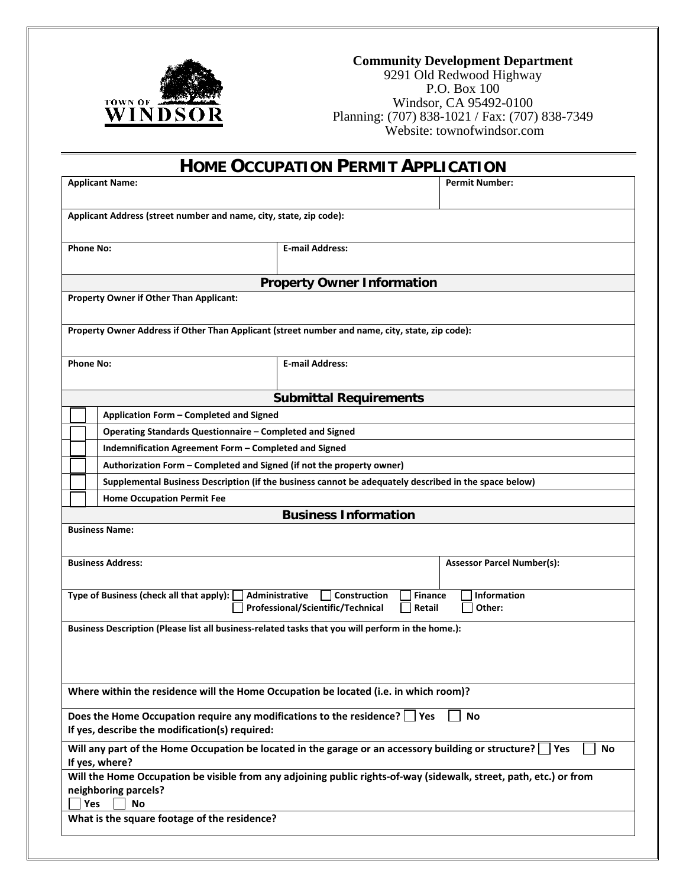

## **Community Development Department**

9291 Old Redwood Highway P.O. Box 100 Windsor, CA 95492-0100 Planning: (707) 838-1021 / Fax: (707) 838-7349 Website: townofwindsor.com

| <b>HOME OCCUPATION PERMIT APPLICATION</b>                                                                                                                             |                                                                                                                                        |  |  |  |
|-----------------------------------------------------------------------------------------------------------------------------------------------------------------------|----------------------------------------------------------------------------------------------------------------------------------------|--|--|--|
| <b>Applicant Name:</b>                                                                                                                                                | <b>Permit Number:</b>                                                                                                                  |  |  |  |
| Applicant Address (street number and name, city, state, zip code):                                                                                                    |                                                                                                                                        |  |  |  |
|                                                                                                                                                                       |                                                                                                                                        |  |  |  |
| <b>Phone No:</b>                                                                                                                                                      | <b>E-mail Address:</b>                                                                                                                 |  |  |  |
|                                                                                                                                                                       | <b>Property Owner Information</b>                                                                                                      |  |  |  |
| <b>Property Owner if Other Than Applicant:</b>                                                                                                                        |                                                                                                                                        |  |  |  |
| Property Owner Address if Other Than Applicant (street number and name, city, state, zip code):                                                                       |                                                                                                                                        |  |  |  |
| <b>Phone No:</b>                                                                                                                                                      | <b>E-mail Address:</b>                                                                                                                 |  |  |  |
|                                                                                                                                                                       | <b>Submittal Requirements</b>                                                                                                          |  |  |  |
| Application Form - Completed and Signed                                                                                                                               |                                                                                                                                        |  |  |  |
| Operating Standards Questionnaire - Completed and Signed                                                                                                              |                                                                                                                                        |  |  |  |
| Indemnification Agreement Form - Completed and Signed                                                                                                                 |                                                                                                                                        |  |  |  |
| Authorization Form - Completed and Signed (if not the property owner)                                                                                                 |                                                                                                                                        |  |  |  |
|                                                                                                                                                                       | Supplemental Business Description (if the business cannot be adequately described in the space below)                                  |  |  |  |
| <b>Home Occupation Permit Fee</b>                                                                                                                                     |                                                                                                                                        |  |  |  |
|                                                                                                                                                                       | <b>Business Information</b>                                                                                                            |  |  |  |
| <b>Business Name:</b>                                                                                                                                                 |                                                                                                                                        |  |  |  |
| <b>Business Address:</b>                                                                                                                                              | <b>Assessor Parcel Number(s):</b>                                                                                                      |  |  |  |
| Type of Business (check all that apply):                                                                                                                              | <b>Information</b><br>Administrative<br>Construction<br><b>Finance</b><br>Professional/Scientific/Technical<br>Other:<br><b>Retail</b> |  |  |  |
| Business Description (Please list all business-related tasks that you will perform in the home.):                                                                     |                                                                                                                                        |  |  |  |
|                                                                                                                                                                       |                                                                                                                                        |  |  |  |
| Where within the residence will the Home Occupation be located (i.e. in which room)?                                                                                  |                                                                                                                                        |  |  |  |
|                                                                                                                                                                       |                                                                                                                                        |  |  |  |
| Does the Home Occupation require any modifications to the residence? $\Box$ Yes<br>No<br>If yes, describe the modification(s) required:                               |                                                                                                                                        |  |  |  |
| Will any part of the Home Occupation be located in the garage or an accessory building or structure?<br>Yes<br>No<br>If yes, where?                                   |                                                                                                                                        |  |  |  |
| Will the Home Occupation be visible from any adjoining public rights-of-way (sidewalk, street, path, etc.) or from<br>neighboring parcels?<br><b>Yes</b><br><b>No</b> |                                                                                                                                        |  |  |  |
| What is the square footage of the residence?                                                                                                                          |                                                                                                                                        |  |  |  |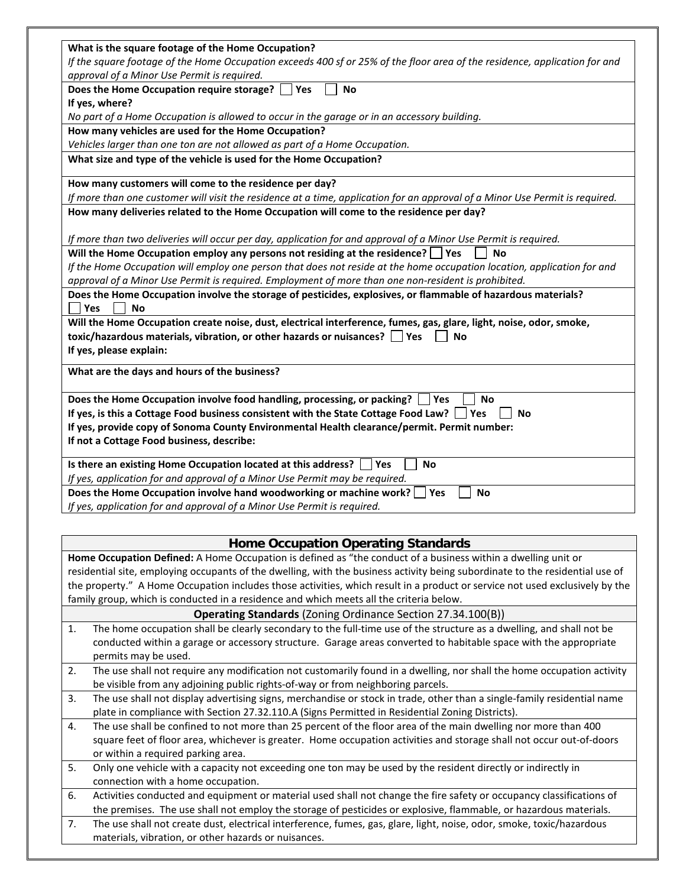| What is the square footage of the Home Occupation?                                                                           |  |  |
|------------------------------------------------------------------------------------------------------------------------------|--|--|
|                                                                                                                              |  |  |
| If the square footage of the Home Occupation exceeds 400 sf or 25% of the floor area of the residence, application for and   |  |  |
| approval of a Minor Use Permit is required.                                                                                  |  |  |
| Does the Home Occupation require storage?<br><b>No</b><br>l Yes                                                              |  |  |
| If yes, where?                                                                                                               |  |  |
| No part of a Home Occupation is allowed to occur in the garage or in an accessory building.                                  |  |  |
| How many vehicles are used for the Home Occupation?                                                                          |  |  |
| Vehicles larger than one ton are not allowed as part of a Home Occupation.                                                   |  |  |
| What size and type of the vehicle is used for the Home Occupation?                                                           |  |  |
| How many customers will come to the residence per day?                                                                       |  |  |
| If more than one customer will visit the residence at a time, application for an approval of a Minor Use Permit is required. |  |  |
| How many deliveries related to the Home Occupation will come to the residence per day?                                       |  |  |
|                                                                                                                              |  |  |
| If more than two deliveries will occur per day, application for and approval of a Minor Use Permit is required.              |  |  |
| Will the Home Occupation employ any persons not residing at the residence? $\Box$ Yes<br><b>No</b>                           |  |  |
| If the Home Occupation will employ one person that does not reside at the home occupation location, application for and      |  |  |
| approval of a Minor Use Permit is required. Employment of more than one non-resident is prohibited.                          |  |  |
| Does the Home Occupation involve the storage of pesticides, explosives, or flammable of hazardous materials?                 |  |  |
| Yes<br><b>No</b>                                                                                                             |  |  |
| Will the Home Occupation create noise, dust, electrical interference, fumes, gas, glare, light, noise, odor, smoke,          |  |  |
| toxic/hazardous materials, vibration, or other hazards or nuisances? $\Box$ Yes<br>No                                        |  |  |
| If yes, please explain:                                                                                                      |  |  |
|                                                                                                                              |  |  |
| What are the days and hours of the business?                                                                                 |  |  |
| Does the Home Occupation involve food handling, processing, or packing?<br>l Yes<br><b>No</b>                                |  |  |
| If yes, is this a Cottage Food business consistent with the State Cottage Food Law?   Yes<br><b>No</b>                       |  |  |
| If yes, provide copy of Sonoma County Environmental Health clearance/permit. Permit number:                                  |  |  |
| If not a Cottage Food business, describe:                                                                                    |  |  |
| Is there an existing Home Occupation located at this address?   Yes<br><b>No</b>                                             |  |  |
| If yes, application for and approval of a Minor Use Permit may be required.                                                  |  |  |
| Does the Home Occupation involve hand woodworking or machine work?<br>Yes<br><b>No</b>                                       |  |  |
| If yes, application for and approval of a Minor Use Permit is required.                                                      |  |  |
|                                                                                                                              |  |  |

## **Home Occupation Operating Standards**

**Home Occupation Defined:** A Home Occupation is defined as "the conduct of a business within a dwelling unit or residential site, employing occupants of the dwelling, with the business activity being subordinate to the residential use of the property." A Home Occupation includes those activities, which result in a product or service not used exclusively by the family group, which is conducted in a residence and which meets all the criteria below.

|    | Tamily group, which is conducted in a residence and which meets all the criteria below.                                 |  |  |
|----|-------------------------------------------------------------------------------------------------------------------------|--|--|
|    | <b>Operating Standards</b> (Zoning Ordinance Section 27.34.100(B))                                                      |  |  |
| 1. | The home occupation shall be clearly secondary to the full-time use of the structure as a dwelling, and shall not be    |  |  |
|    | conducted within a garage or accessory structure. Garage areas converted to habitable space with the appropriate        |  |  |
|    | permits may be used.                                                                                                    |  |  |
| 2. | The use shall not require any modification not customarily found in a dwelling, nor shall the home occupation activity  |  |  |
|    | be visible from any adjoining public rights-of-way or from neighboring parcels.                                         |  |  |
| 3. | The use shall not display advertising signs, merchandise or stock in trade, other than a single-family residential name |  |  |
|    | plate in compliance with Section 27.32.110.A (Signs Permitted in Residential Zoning Districts).                         |  |  |
| 4. | The use shall be confined to not more than 25 percent of the floor area of the main dwelling nor more than 400          |  |  |
|    | square feet of floor area, whichever is greater. Home occupation activities and storage shall not occur out-of-doors    |  |  |
|    | or within a required parking area.                                                                                      |  |  |
| 5. | Only one vehicle with a capacity not exceeding one ton may be used by the resident directly or indirectly in            |  |  |
|    | connection with a home occupation.                                                                                      |  |  |
| 6. | Activities conducted and equipment or material used shall not change the fire safety or occupancy classifications of    |  |  |
|    | the premises. The use shall not employ the storage of pesticides or explosive, flammable, or hazardous materials.       |  |  |
| 7. | The use shall not create dust, electrical interference, fumes, gas, glare, light, noise, odor, smoke, toxic/hazardous   |  |  |
|    | materials, vibration, or other hazards or nuisances.                                                                    |  |  |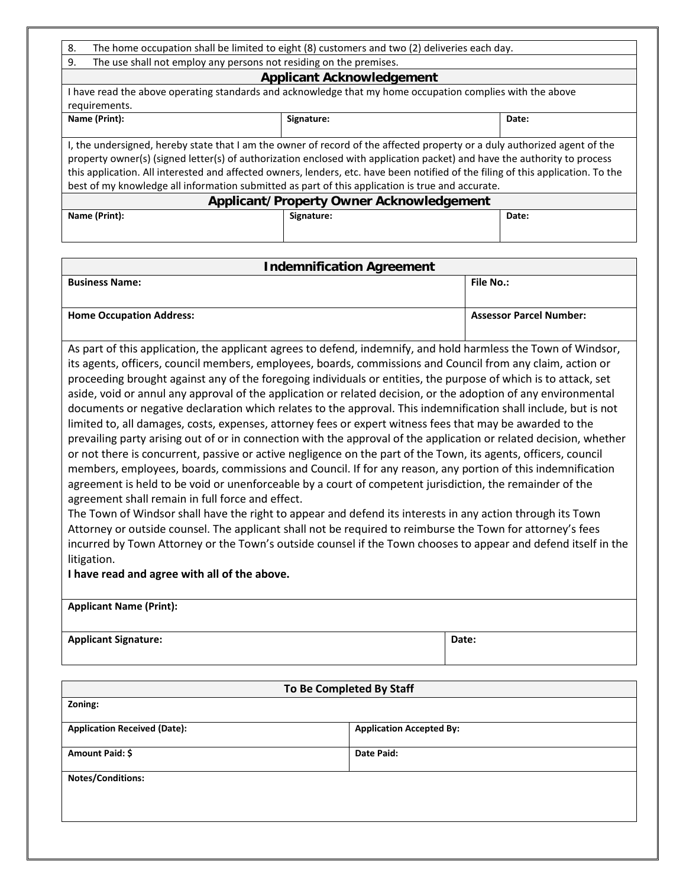| The home occupation shall be limited to eight (8) customers and two (2) deliveries each day.<br>8.                                                                                                                                                                                                                                                                                                                                                                                            |            |       |  |  |
|-----------------------------------------------------------------------------------------------------------------------------------------------------------------------------------------------------------------------------------------------------------------------------------------------------------------------------------------------------------------------------------------------------------------------------------------------------------------------------------------------|------------|-------|--|--|
| The use shall not employ any persons not residing on the premises.<br>9.                                                                                                                                                                                                                                                                                                                                                                                                                      |            |       |  |  |
| <b>Applicant Acknowledgement</b>                                                                                                                                                                                                                                                                                                                                                                                                                                                              |            |       |  |  |
| I have read the above operating standards and acknowledge that my home occupation complies with the above                                                                                                                                                                                                                                                                                                                                                                                     |            |       |  |  |
| requirements.                                                                                                                                                                                                                                                                                                                                                                                                                                                                                 |            |       |  |  |
| Name (Print):                                                                                                                                                                                                                                                                                                                                                                                                                                                                                 | Signature: | Date: |  |  |
|                                                                                                                                                                                                                                                                                                                                                                                                                                                                                               |            |       |  |  |
| I, the undersigned, hereby state that I am the owner of record of the affected property or a duly authorized agent of the<br>property owner(s) (signed letter(s) of authorization enclosed with application packet) and have the authority to process<br>this application. All interested and affected owners, lenders, etc. have been notified of the filing of this application. To the<br>best of my knowledge all information submitted as part of this application is true and accurate. |            |       |  |  |
| <b>Applicant/Property Owner Acknowledgement</b>                                                                                                                                                                                                                                                                                                                                                                                                                                               |            |       |  |  |
| Name (Print):                                                                                                                                                                                                                                                                                                                                                                                                                                                                                 | Signature: | Date: |  |  |
|                                                                                                                                                                                                                                                                                                                                                                                                                                                                                               |            |       |  |  |

| <b>Indemnification Agreement</b>                                                                                   |                                |  |
|--------------------------------------------------------------------------------------------------------------------|--------------------------------|--|
| <b>Business Name:</b>                                                                                              | <b>File No.:</b>               |  |
|                                                                                                                    |                                |  |
| <b>Home Occupation Address:</b>                                                                                    | <b>Assessor Parcel Number:</b> |  |
|                                                                                                                    |                                |  |
| As part of this application, the applicant agrees to defend, indemnify, and hold harmless the Town of Windsor,     |                                |  |
| its agents, officers, council members, employees, boards, commissions and Council from any claim, action or        |                                |  |
| proceeding brought against any of the foregoing individuals or entities, the purpose of which is to attack, set    |                                |  |
| aside, void or annul any approval of the application or related decision, or the adoption of any environmental     |                                |  |
| documents or negative declaration which relates to the approval. This indemnification shall include, but is not    |                                |  |
| limited to, all damages, costs, expenses, attorney fees or expert witness fees that may be awarded to the          |                                |  |
| prevailing party arising out of or in connection with the approval of the application or related decision, whether |                                |  |
| or not there is concurrent, passive or active negligence on the part of the Town, its agents, officers, council    |                                |  |
| members, employees, boards, commissions and Council. If for any reason, any portion of this indemnification        |                                |  |
| agreement is held to be void or unenforceable by a court of competent jurisdiction, the remainder of the           |                                |  |
| agreement shall remain in full force and effect.                                                                   |                                |  |
| The Town of Windsor shall have the right to annear and defend its interests in any action through its Town         |                                |  |

The Town of Windsor shall have the right to appear and defend its interests in any action through its Town Attorney or outside counsel. The applicant shall not be required to reimburse the Town for attorney's fees incurred by Town Attorney or the Town's outside counsel if the Town chooses to appear and defend itself in the litigation.

**I have read and agree with all of the above.**

| <b>Applicant Name (Print):</b> |       |  |
|--------------------------------|-------|--|
| <b>Applicant Signature:</b>    | Date: |  |

| To Be Completed By Staff            |                                 |  |
|-------------------------------------|---------------------------------|--|
| Zoning:                             |                                 |  |
| <b>Application Received (Date):</b> | <b>Application Accepted By:</b> |  |
| Amount Paid: \$                     | Date Paid:                      |  |
| <b>Notes/Conditions:</b>            |                                 |  |
|                                     |                                 |  |